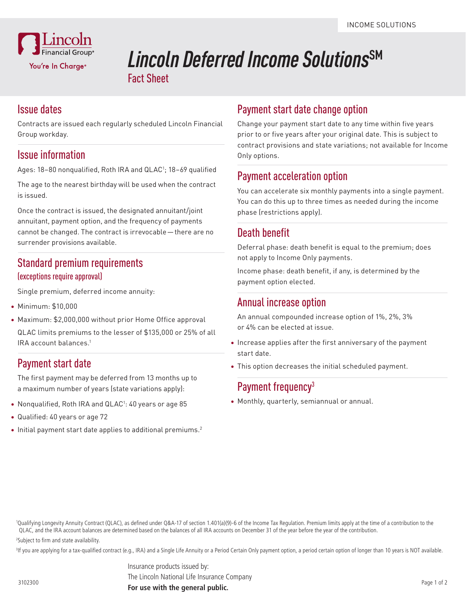

# *Lincoln Deferred Income Solutions*SM Fact Sheet

#### Issue dates

Contracts are issued each regularly scheduled Lincoln Financial Group workday.

#### Issue information

Ages: 18–80 nonqualified, Roth IRA and QLAC<sup>1</sup>; 18–69 qualified

The age to the nearest birthday will be used when the contract is issued.

Once the contract is issued, the designated annuitant/joint annuitant, payment option, and the frequency of payments cannot be changed. The contract is irrevocable—there are no surrender provisions available.

#### Standard premium requirements (exceptions require approval)

Single premium, deferred income annuity:

- Minimum: \$10,000
- Maximum: \$2,000,000 without prior Home Office approval

QLAC limits premiums to the lesser of \$135,000 or 25% of all IRA account balances.1

### Payment start date

The first payment may be deferred from 13 months up to a maximum number of years (state variations apply):

- Nonqualified, Roth IRA and QLAC<sup>1</sup>: 40 years or age 85
- Qualified: 40 years or age 72
- $\bullet$  Initial payment start date applies to additional premiums.<sup>2</sup>

## Payment start date change option

Change your payment start date to any time within five years prior to or five years after your original date. This is subject to contract provisions and state variations; not available for Income Only options.

#### Payment acceleration option

You can accelerate six monthly payments into a single payment. You can do this up to three times as needed during the income phase (restrictions apply).

### Death benefit

Deferral phase: death benefit is equal to the premium; does not apply to Income Only payments.

Income phase: death benefit, if any, is determined by the payment option elected.

#### Annual increase option

An annual compounded increase option of 1%, 2%, 3% or 4% can be elected at issue.

- Increase applies after the first anniversary of the payment start date.
- This option decreases the initial scheduled payment.

### Payment frequency<sup>3</sup>

• Monthly, quarterly, semiannual or annual.

1 Qualifying Longevity Annuity Contract (QLAC), as defined under Q&A-17 of section 1.401(a)(9)-6 of the Income Tax Regulation. Premium limits apply at the time of a contribution to the QLAC, and the IRA account balances are determined based on the balances of all IRA accounts on December 31 of the year before the year of the contribution. 2 Subject to firm and state availability.

<sup>3</sup>If you are applying for a tax-qualified contract (e.g., IRA) and a Single Life Annuity or a Period Certain Only payment option, a period certain option of longer than 10 years is NOT available.

Insurance products issued by:

The Lincoln National Life Insurance Company

**For use with the general public.** <sup>3102300</sup>